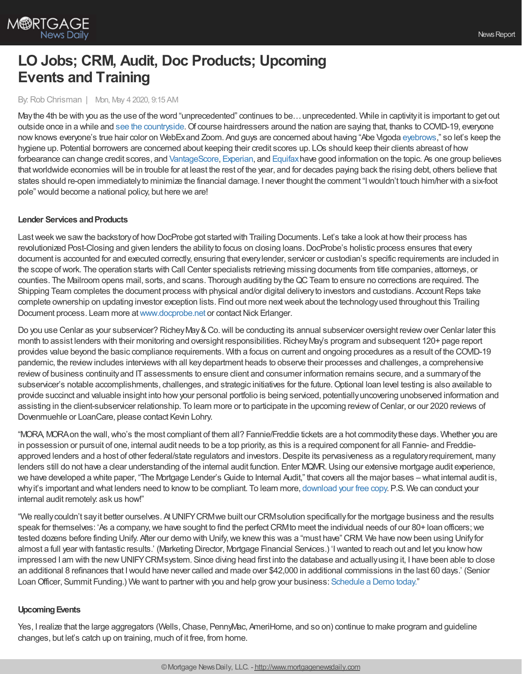

# **LO Jobs; CRM, Audit, Doc Products; Upcoming Events and Training**

By:Rob Chrisman | Mon, May 4 2020, 9:15 AM

May the 4th be with you as the use of the word "unprecedented" continues to be... unprecedented. While in captivity it is important to get out outside once in a while and see the [countryside](https://www.youtube.com/watch?v=kBtwCBfZWlY). Of course hairdressers around the nation are saying that, thanks to COVID-19, everyone nowknows everyone's true hair color on WebExand Zoom. And guys are concerned about having "Abe Vigoda [eyebrows](https://en.wikipedia.org/wiki/Abe_Vigoda)," so let's keep the hygiene up. Potential borrowers are concerned about keeping their credit scores up. LOs should keep their clients abreast of how forbearance can change credit scores, and [VantageScore](https://www.vantagescore.com/resource/435/how-protect-my-credit-score-if-financial-hardships-covid-19), [Experian](https://www.experian.com/blogs/ask-experian/how-forbearance-affects-credit/), and [Equifax](https://www.equifax.com/personal/education/covid-19/coronavirus-personal-credit/) have good information on the topic. As one group believes thatworldwide economies will be in trouble for at least the rest of the year, and for decades paying back the rising debt, others believe that states should re-open immediatelyto minimize the financial damage. I never thought the comment "Iwouldn't touch him/her with a six-foot pole" would become a national policy, but here we are!

## **Lender Services and Products**

Last week we saw the backstory of how DocProbe got started with Trailing Documents. Let's take a look at how their process has revolutionized Post-Closing and given lenders the abilityto focus on closing loans.DocProbe's holistic process ensures that every document is accounted for and executed correctly, ensuring that everylender, servicer or custodian's specific requirements are included in the scope ofwork. The operation starts with Call Center specialists retrieving missing documents from title companies, attorneys, or counties. The Mailroom opens mail, sorts, and scans. Thorough auditing bytheQCTeam to ensure no corrections are required. The Shipping Team completes the document process with physical and/or digital delivery to investors and custodians. Account Reps take complete ownership on updating investor exception lists. Find out more nextweek about the technologyused throughout this Trailing Document process. Learn more at [www.docprobe.net](https://bit.ly/2SlhicR) or contact Nick Erlanger.

Do you use Cenlar as your subservicer? Richey May & Co. will be conducting its annual subservicer oversight review over Cenlar later this month to assist lenders with their monitoring and oversight responsibilities. Richey May's program and subsequent 120+ page report provides value beyond the basic compliance requirements. With a focus on current and ongoing procedures as a result of the COVID-19 pandemic, the reviewincludes interviews with all keydepartment heads to observe their processes and challenges, a comprehensive review of business continuity and IT assessments to ensure client and consumer information remains secure, and a summary of the subservicer's notable accomplishments, challenges, and strategic initiatives for the future. Optional loan level testing is also available to provide succinct and valuable insight into howyour personal portfolio is being serviced, potentiallyuncovering unobserved information and assisting in the client-subservicer relationship. To learn more or to participate in the upcoming review of Cenlar, or our 2020 reviews of Dovenmuehle or LoanCare, please contact Kevin Lohry.

"MORA, MORA on the wall, who's the most compliant of them all? Fannie/Freddie tickets are a hot commodity these days. Whether you are in possession or pursuit of one, internal audit needs to be a top priority, as this is a required component for all Fannie- and Freddieapproved lenders and a host of other federal/state regulators and investors. Despite its pervasiveness as a regulatory requirement, many lenders still do not have a clear understanding of the internal audit function. Enter MQMR. Using our extensive mortgage audit experience, we have developed a white paper, "The Mortgage Lender's Guide to Internal Audit," that covers all the major bases – what internal audit is, whyit's important and what lenders need to knowto be compliant. To learn more, [download](https://hubs.ly/H0pXFDC0) your free copy. P.S. We can conduct your internal audit remotely: ask us how!"

"We reallycouldn't sayit better ourselves. AtUNIFYCRMwe built our CRMsolution specificallyfor the mortgage business and the results speak for themselves: 'As a company, we have sought to find the perfect CRM to meet the individual needs of our 80+ loan officers; we tested dozens before finding Unify. After our demo with Unify, we knew this was a "must have" CRM. We have now been using Unify for almost a full year with fantastic results.' (Marketing Director, Mortgage Financial Services.) 'Iwanted to reach out and let you knowhow impressed I am with the newUNIFYCRMsystem. Since diving head first into the database and actuallyusing it, I have been able to close an additional 8 refinances that Iwould have never called and made over \$42,000 in additional commissions in the last 60 days.' (Senior Loan Officer, Summit Funding.) We want to partner with you and help grow your business: [Schedule](http://unifycrm.com/contact) a Demo today."

## **Upcoming Events**

Yes, I realize that the large aggregators (Wells, Chase, PennyMac, AmeriHome, and so on) continue to make program and guideline changes, but let's catch up on training, much of it free, from home.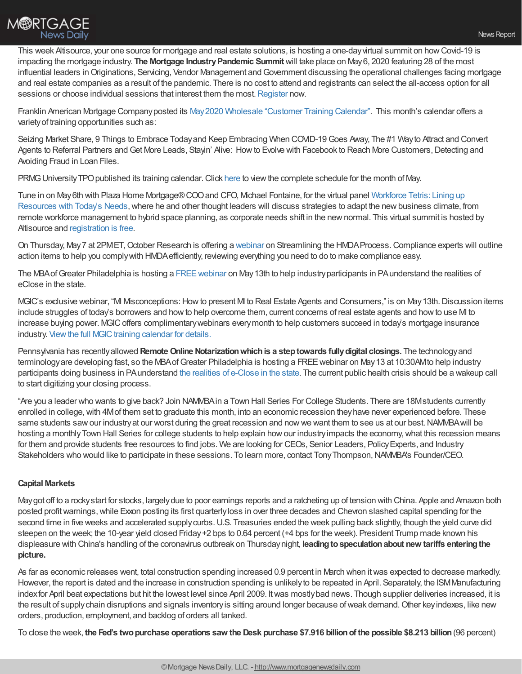

This week Altisource, your one source for mortgage and real estate solutions, is hosting a one-day virtual summit on how Covid-19 is impacting the mortgage industry. **The Mortgage IndustryPandemic Summit** will take place on May6, 2020 featuring 28 of the most influential leaders in Originations, Servicing, Vendor Management and Government discussing the operational challenges facing mortgage and real estate companies as a result of the pandemic. There is no cost to attend and registrants can select the all-access option for all sessions or choose individual sessions that interest them the most. [Register](https://pages.altisource.com/MIPSummit-RobChrisman.html) now.

Franklin American Mortgage Companyposted its May2020 Wholesale ["Customer](https://wholesalestorefront.franklinamerican.com/calendar/) Training Calendar". This month's calendar offers a varietyof training opportunities such as:

Seizing Market Share, 9 Things to Embrace Todayand Keep Embracing When COVID-19Goes Away, The #1 Wayto Attract and Convert Agents to Referral Partners and Get More Leads, Stayin' Alive: How to Evolve with Facebook to Reach More Customers, Detecting and Avoiding Fraud in Loan Files.

PRMG University TPO published its training calendar. Click [here](http://www.eprmg.net/training/calendar/PRMG%20University%20-%20TPO%20Class%20Schedule.pdf) to view the complete schedule for the month of May.

Tune in on May6th with Plaza Home [Mortgage®COOand](https://www.mipsummit.org/sessions/) CFO, Michael Fontaine, for the virtual panel Workforce Tetris: Lining up Resources with Today's Needs, where he and other thought leaders will discuss strategies to adapt the new business climate, from remote workforce management to hybrid space planning, as corporate needs shift in the newnormal. This virtual summit is hosted by Altisource and [registration](https://share.plazahomemortgage.com/e2t/c/*W8BZRhT9gQD1mW9bVwPR71YJ300/*VBqGL02wZS3RW5fjTtz6ZD3Zx0/5/f18dQhb0SfHt9ctzY-N7JmH7bHyjJqVS9Tps7dKLYTW3hHh9N5zh-NRVnQ9Qq8ZvtcyW32SCgK4ctKswW8W2c9W33Gy-hN4dQ1zdsgckvN4fPgf7Kzm86W558tRr4b_rKwN7MbPrQJp5D0W8X4mgZ4J_z1xW7465LL5DQqWbW64twHN6NtbSrW1nrCGB51x78zW6HzNHp74GTJsW2z8XrT8g0PRxW6tk8Sm7dzcsSW51vDG61fdmZQW1x4lQB6HdqlTW7nwG0k6bnMRgW4MS1s86gXBFnN67h1zcQC5z2VPC2cV7fnj5wMfgkfJbGd76W8t2J2w3GCJxsVgZVbH4SVqLcW36LW0y4Xb6n4W60nbDv5x7_0wW4xt4ZQ3lbXJqVZlTL45GFxspW5BHX9Q1n1C_-W64-gTf3JllsDN1qftsSYn8XkMYC9XyT99RDW6L_bpw4TmCLrW6QNfy15qykD6W95LDts62zKMsW5HFsGK1dCBprW4M11334H_8krW2Nm6NG5ZX_P0W20WP9m1tqbvRN3NhfLq84rVzW6PxM6v2g4ydvW8Yy2dG5H0HYFW1Yb-zF9f_wJnW3PjzZ_4vGnBbW7G0W5Y3wPByYW3wqsnC5GgVHS111) is free.

On Thursday, May 7 at 2PMET, October Research is offering a [webinar](https://www.octoberstore.com/Streamlining_the_HMDA_Process_p/orw050720.htm) on Streamlining the HMDA Process. Compliance experts will outline action items to help you complywith HMDAefficiently, reviewing everything you need to do to make compliance easy.

The MBAofGreater Philadelphia is hosting a [FREEwebinar](https://register.gotowebinar.com/register/1098321263127423757) on May13th to help industryparticipants in PAunderstand the realities of eClose in the state.

MGIC's exclusive webinar, "MI Misconceptions: How to present MI to Real Estate Agents and Consumers," is on May 13th. Discussion items include struggles of today's borrowers and howto help overcome them, current concerns of real estate agents and howto use MI to increase buying power. MGICoffers complimentarywebinars everymonth to help customers succeed in today's mortgage insurance industry. View the full MGIC training calendar for details.

Pennsylvania has recentlyallowed **RemoteOnline Notarizationwhichis a steptowards fullydigital closings.** The technologyand terminologyare developing fast, so the MBAofGreater Philadelphia is hosting a FREEwebinar on May13 at 10:30AMto help industry participants doing business in PAunderstand the realities of [e-Close](https://register.gotowebinar.com/register/1098321263127423757) in the state. The current public health crisis should be a wakeup call to start digitizing your closing process.

"Are you a leader who wants to give back? Join NAMMBAin a Town Hall Series For College Students. There are 18Mstudents currently enrolled in college,with 4Mof them set to graduate this month, into an economic recession theyhave never experienced before. These same students saw our industry at our worst during the great recession and now we want them to see us at our best. NAMMBA will be hosting a monthly Town Hall Series for college students to help explain how our industry impacts the economy, what this recession means for them and provide students free resources to find jobs. We are looking for CEOs, Senior Leaders, Policy Experts, and Industry Stakeholders who would like to participate in these sessions. To learn more, contact Tony Thompson, NAMMBA's Founder/CEO.

## **Capital Markets**

Maygot off to a rockystart for stocks, largelydue to poor earnings reports and a ratcheting up of tension with China. Apple and Amazon both posted profit warnings, while Exxon posting its first quarterly loss in over three decades and Chevron slashed capital spending for the second time in five weeks and accelerated supply curbs. U.S. Treasuries ended the week pulling back slightly, though the yield curve did steepen on the week; the 10-year yield closed Friday+2 bps to 0.64 percent (+4 bps for the week). President Trump made known his displeasure with China's handling of the coronavirus outbreak on Thursdaynight, **leadingtospeculationabout new tariffs enteringthe picture.**

As far as economic releases went, total construction spending increased 0.9 percent in March when itwas expected to decrease markedly. However, the report is dated and the increase in construction spending is unlikelyto be repeated in April. Separately, the ISMManufacturing indexfor April beat expectations but hit the lowest level since April 2009. Itwas mostlybad news. Though supplier deliveries increased, it is the result of supply chain disruptions and signals inventory is sitting around longer because of weak demand. Other key indexes, like new orders, production, employment, and backlog of orders all tanked.

To close the week, the Fed's two purchase operations saw the Desk purchase \$7.916 billion of the possible \$8.213 billion (96 percent)